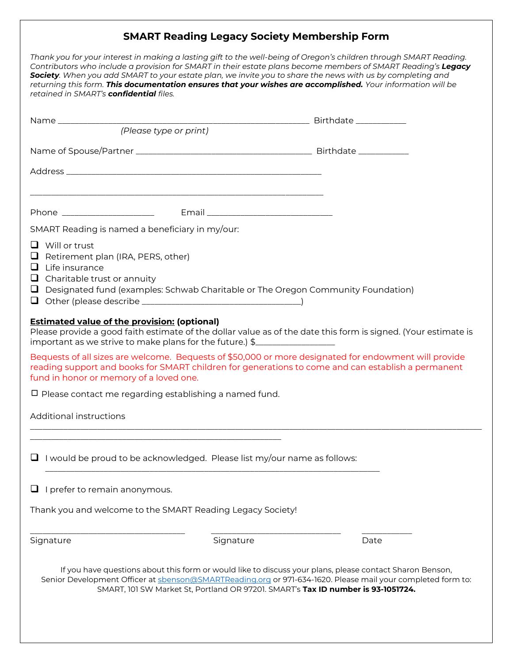## **SMART Reading Legacy Society Membership Form**

| Thank you for your interest in making a lasting gift to the well-being of Oregon's children through SMART Reading.<br>Contributors who include a provision for SMART in their estate plans become members of SMART Reading's Legacy<br>Society. When you add SMART to your estate plan, we invite you to share the news with us by completing and<br>returning this form. This documentation ensures that your wishes are accomplished. Your information will be<br>retained in SMART's confidential files. |                                                                                                                                                                                                                             |           |                                                                                                                                                                                                                         |  |
|-------------------------------------------------------------------------------------------------------------------------------------------------------------------------------------------------------------------------------------------------------------------------------------------------------------------------------------------------------------------------------------------------------------------------------------------------------------------------------------------------------------|-----------------------------------------------------------------------------------------------------------------------------------------------------------------------------------------------------------------------------|-----------|-------------------------------------------------------------------------------------------------------------------------------------------------------------------------------------------------------------------------|--|
|                                                                                                                                                                                                                                                                                                                                                                                                                                                                                                             |                                                                                                                                                                                                                             |           |                                                                                                                                                                                                                         |  |
|                                                                                                                                                                                                                                                                                                                                                                                                                                                                                                             | (Please type or print)                                                                                                                                                                                                      |           |                                                                                                                                                                                                                         |  |
|                                                                                                                                                                                                                                                                                                                                                                                                                                                                                                             |                                                                                                                                                                                                                             |           |                                                                                                                                                                                                                         |  |
|                                                                                                                                                                                                                                                                                                                                                                                                                                                                                                             |                                                                                                                                                                                                                             |           |                                                                                                                                                                                                                         |  |
|                                                                                                                                                                                                                                                                                                                                                                                                                                                                                                             |                                                                                                                                                                                                                             |           |                                                                                                                                                                                                                         |  |
| SMART Reading is named a beneficiary in my/our:                                                                                                                                                                                                                                                                                                                                                                                                                                                             |                                                                                                                                                                                                                             |           |                                                                                                                                                                                                                         |  |
|                                                                                                                                                                                                                                                                                                                                                                                                                                                                                                             | $\Box$ Will or trust<br>$\Box$ Retirement plan (IRA, PERS, other)<br>$\Box$ Life insurance<br>$\Box$ Charitable trust or annuity<br>$\Box$ Designated fund (examples: Schwab Charitable or The Oregon Community Foundation) |           |                                                                                                                                                                                                                         |  |
|                                                                                                                                                                                                                                                                                                                                                                                                                                                                                                             | <b>Estimated value of the provision: (optional)</b><br>important as we strive to make plans for the future.) \$                                                                                                             |           | Please provide a good faith estimate of the dollar value as of the date this form is signed. (Your estimate is<br>Bequests of all sizes are welcome. Bequests of \$50,000 or more designated for endowment will provide |  |
|                                                                                                                                                                                                                                                                                                                                                                                                                                                                                                             | fund in honor or memory of a loved one.                                                                                                                                                                                     |           | reading support and books for SMART children for generations to come and can establish a permanent                                                                                                                      |  |
| $\Box$ Please contact me regarding establishing a named fund.                                                                                                                                                                                                                                                                                                                                                                                                                                               |                                                                                                                                                                                                                             |           |                                                                                                                                                                                                                         |  |
| Additional instructions                                                                                                                                                                                                                                                                                                                                                                                                                                                                                     |                                                                                                                                                                                                                             |           |                                                                                                                                                                                                                         |  |
| I would be proud to be acknowledged. Please list my/our name as follows:                                                                                                                                                                                                                                                                                                                                                                                                                                    |                                                                                                                                                                                                                             |           |                                                                                                                                                                                                                         |  |
|                                                                                                                                                                                                                                                                                                                                                                                                                                                                                                             | I prefer to remain anonymous.                                                                                                                                                                                               |           |                                                                                                                                                                                                                         |  |
| Thank you and welcome to the SMART Reading Legacy Society!                                                                                                                                                                                                                                                                                                                                                                                                                                                  |                                                                                                                                                                                                                             |           |                                                                                                                                                                                                                         |  |
| Signature                                                                                                                                                                                                                                                                                                                                                                                                                                                                                                   |                                                                                                                                                                                                                             | Signature | Date                                                                                                                                                                                                                    |  |
| If you have questions about this form or would like to discuss your plans, please contact Sharon Benson,<br>Senior Development Officer at sbenson@SMARTReading.org or 971-634-1620. Please mail your completed form to:<br>SMART, 101 SW Market St, Portland OR 97201. SMART's Tax ID number is 93-1051724.                                                                                                                                                                                                 |                                                                                                                                                                                                                             |           |                                                                                                                                                                                                                         |  |